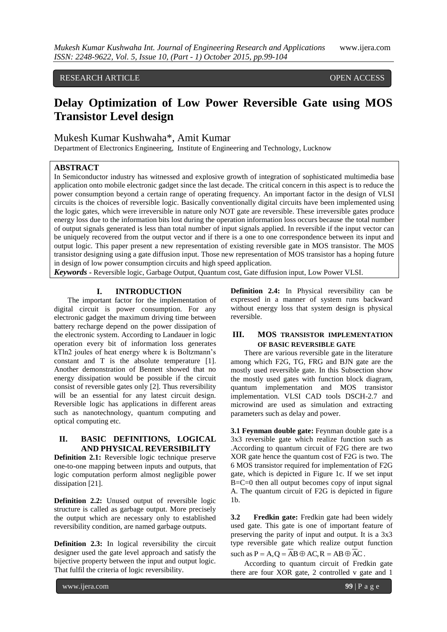## RESEARCH ARTICLE **CONTRACT OPEN ACCESS**

# **Delay Optimization of Low Power Reversible Gate using MOS Transistor Level design**

## Mukesh Kumar Kushwaha\*, Amit Kumar

Department of Electronics Engineering, Institute of Engineering and Technology, Lucknow

#### **ABSTRACT**

In Semiconductor industry has witnessed and explosive growth of integration of sophisticated multimedia base application onto mobile electronic gadget since the last decade. The critical concern in this aspect is to reduce the power consumption beyond a certain range of operating frequency. An important factor in the design of VLSI circuits is the choices of reversible logic. Basically conventionally digital circuits have been implemented using the logic gates, which were irreversible in nature only NOT gate are reversible. These irreversible gates produce energy loss due to the information bits lost during the operation information loss occurs because the total number of output signals generated is less than total number of input signals applied. In reversible if the input vector can be uniquely recovered from the output vector and if there is a one to one correspondence between its input and output logic. This paper present a new representation of existing reversible gate in MOS transistor. The MOS transistor designing using a gate diffusion input. Those new representation of MOS transistor has a hoping future in design of low power consumption circuits and high speed application.

*Keywords* **-** Reversible logic, Garbage Output, Quantum cost, Gate diffusion input, Low Power VLSI.

## **I. INTRODUCTION**

The important factor for the implementation of digital circuit is power consumption. For any electronic gadget the maximum driving time between battery recharge depend on the power dissipation of the electronic system. According to Landauer in logic operation every bit of information loss generates kTln2 joules of heat energy where k is Boltzmann's constant and T is the absolute temperature [1]. Another demonstration of Bennett showed that no energy dissipation would be possible if the circuit consist of reversible gates only [2]. Thus reversibility will be an essential for any latest circuit design. Reversible logic has applications in different areas such as nanotechnology, quantum computing and optical computing etc.

## **II. BASIC DEFINITIONS, LOGICAL AND PHYSICAL REVERSIBILITY**

**Definition 2.1:** Reversible logic technique preserve one-to-one mapping between inputs and outputs, that logic computation perform almost negligible power dissipation [21].

**Definition 2.2:** Unused output of reversible logic structure is called as garbage output. More precisely the output which are necessary only to established reversibility condition, are named garbage outputs.

**Definition 2.3:** In logical reversibility the circuit designer used the gate level approach and satisfy the bijective property between the input and output logic. That fulfil the criteria of logic reversibility.

**Definition 2.4:** In Physical reversibility can be expressed in a manner of system runs backward without energy loss that system design is physical reversible.

## **III. MOS TRANSISTOR IMPLEMENTATION OF BASIC REVERSIBLE GATE**

There are various reversible gate in the literature among which F2G, TG, FRG and BJN gate are the mostly used reversible gate. In this Subsection show the mostly used gates with function block diagram, quantum implementation and MOS transistor implementation. VLSI CAD tools DSCH-2.7 and microwind are used as simulation and extracting parameters such as delay and power.

**3.1 Feynman double gate:** Feynman double gate is a 3x3 reversible gate which realize function such as .According to quantum circuit of F2G there are two XOR gate hence the quantum cost of F2G is two. The 6 MOS transistor required for implementation of F2G gate, which is depicted in Figure 1c. If we set input  $B=C=0$  then all output becomes copy of input signal A. The quantum circuit of F2G is depicted in figure 1b.

**3.2 Fredkin gate:** Fredkin gate had been widely used gate. This gate is one of important feature of preserving the parity of input and output. It is a 3x3 type reversible gate which realize output function such as  $P = A$ ,  $Q = AB \oplus AC$ ,  $R = AB \oplus AC$ .

According to quantum circuit of Fredkin gate there are four XOR gate, 2 controlled v gate and 1

www.ijera.com **99** | P a g e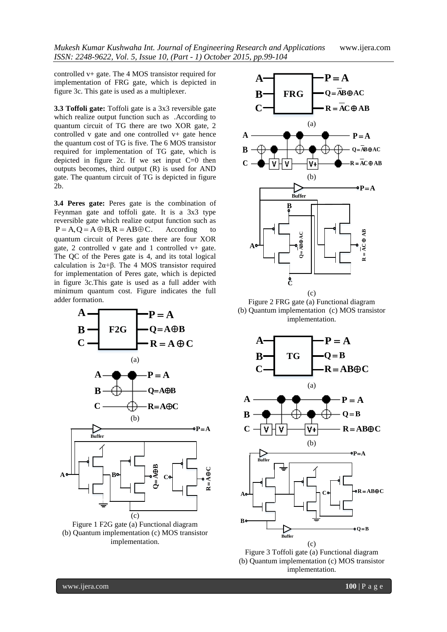*Mukesh Kumar Kushwaha Int. Journal of Engineering Research and Applications* www.ijera.com *ISSN: 2248-9622, Vol. 5, Issue 10, (Part - 1) October 2015, pp.99-104*

controlled v+ gate. The 4 MOS transistor required for implementation of FRG gate, which is depicted in figure 3c. This gate is used as a multiplexer.

**3.3 Toffoli gate:** Toffoli gate is a 3x3 reversible gate which realize output function such as .According to quantum circuit of TG there are two XOR gate, 2 controlled v gate and one controlled v+ gate hence the quantum cost of TG is five. The 6 MOS transistor required for implementation of TG gate, which is depicted in figure 2c. If we set input C=0 then outputs becomes, third output (R) is used for AND gate. The quantum circuit of TG is depicted in figure 2b.

**3.4 Peres gate:** Peres gate is the combination of Feynman gate and toffoli gate. It is a 3x3 type reversible gate which realize output function such as  $P = A$ ,  $Q = A \oplus B$ ,  $R = AB \oplus C$ . According to quantum circuit of Peres gate there are four XOR gate, 2 controlled v gate and 1 controlled v+ gate. The QC of the Peres gate is 4, and its total logical calculation is 2α+β. The 4 MOS transistor required for implementation of Peres gate, which is depicted in figure 3c.This gate is used as a full adder with minimum quantum cost. Figure indicates the full adder formation.







Figure 2 FRG gate (a) Functional diagram (b) Quantum implementation (c) MOS transistor implementation.



Figure 3 Toffoli gate (a) Functional diagram (b) Quantum implementation (c) MOS transistor implementation.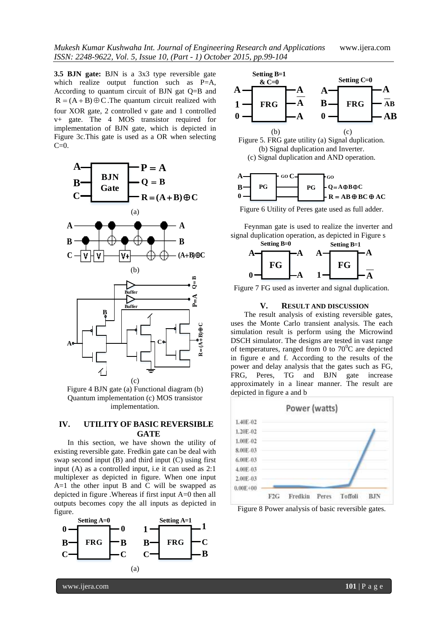**3.5 BJN gate:** BJN is a 3x3 type reversible gate which realize output function such as P=A, According to quantum circuit of BJN gat Q=B and  $R = (A + B) \oplus C$ . The quantum circuit realized with four XOR gate, 2 controlled v gate and 1 controlled v+ gate. The 4 MOS transistor required for implementation of BJN gate, which is depicted in Figure 3c.This gate is used as a OR when selecting  $C=0$ .



(c) Figure 4 BJN gate (a) Functional diagram (b) Quantum implementation (c) MOS transistor implementation.

## **IV. UTILITY OF BASIC REVERSIBLE GATE**

In this section, we have shown the utility of existing reversible gate. Fredkin gate can be deal with swap second input (B) and third input (C) using first input (A) as a controlled input, i.e it can used as 2:1 multiplexer as depicted in figure. When one input A=1 the other input B and C will be swapped as depicted in figure .Whereas if first input A=0 then all outputs becomes copy the all inputs as depicted in figure.









Figure 6 Utility of Peres gate used as full adder.

signal duplication operation, as depicted in Figure s



#### **V. RESULT AND DISCUSSION**

 $\overrightarrow{A} \bullet \qquad \qquad \overrightarrow{C} \bullet \qquad \qquad \overrightarrow{C} \bullet \qquad \qquad \overrightarrow{D}$  DSCH simulator. The designs are tested in vast range  $\mathbf{B}$   $\mathbf{\rightarrow}$ The result analysis of existing reversible gates, simulation result is perform using the Microwind uses the Monte Carlo transient analysis. The each of temperatures, ranged from 0 to  $70^{\circ}$ C are depicted in figure e and f. According to the results of the power and delay analysis that the gates such as FG, FRG, Peres, TG and BJN gate increase approximately in a linear manner. The result are depicted in figure a and b



Figure 8 Power analysis of basic reversible gates.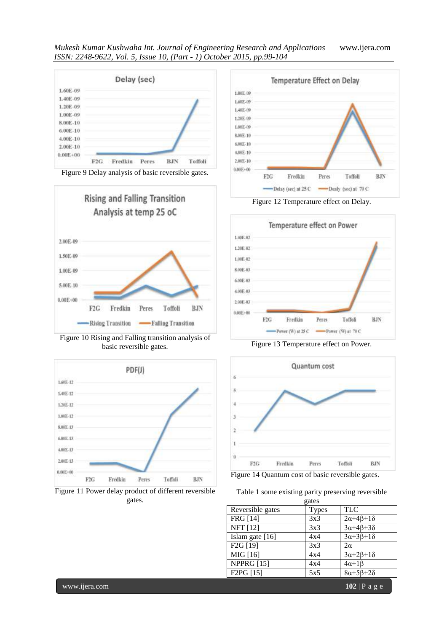





Figure 10 Rising and Falling transition analysis of basic reversible gates.











Figure 13 Temperature effect on Power.



Figure 14 Quantum cost of basic reversible gates.

|  |       | Table 1 some existing parity preserving reversible |  |
|--|-------|----------------------------------------------------|--|
|  | antos |                                                    |  |

| ouw   |                              |
|-------|------------------------------|
| Types | <b>TLC</b>                   |
| 3x3   | $2\alpha + 4\beta + 1\delta$ |
| 3x3   | $3\alpha + 4\beta + 3\delta$ |
| 4x4   | $3\alpha+3\beta+1\delta$     |
| 3x3   | $2\alpha$                    |
| 4x4   | $3\alpha + 2\beta + 1\delta$ |
| 4x4   | $4\alpha+1\beta$             |
| 5x5   | $8\alpha + 5\beta + 2\delta$ |
|       |                              |

www.ijera.com **102** | P a g e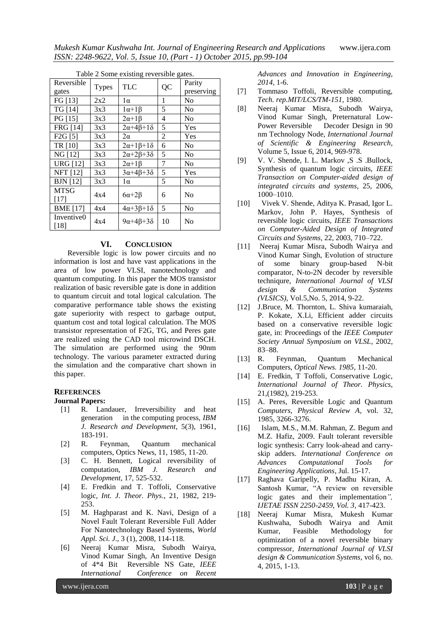*Mukesh Kumar Kushwaha Int. Journal of Engineering Research and Applications* www.ijera.com *ISSN: 2248-9622, Vol. 5, Issue 10, (Part - 1) October 2015, pp.99-104*

| I able 2 Some existing reversible gates. |              |                              |    |                |  |  |  |
|------------------------------------------|--------------|------------------------------|----|----------------|--|--|--|
| Reversible                               | <b>Types</b> | <b>TLC</b>                   | QC | Parity         |  |  |  |
| gates                                    |              |                              |    | preserving     |  |  |  |
| FG [13]                                  | 2x2          | $1\alpha$                    | 1  | No             |  |  |  |
| <b>TG</b> [14]                           | 3x3          | $1\alpha+1\beta$             | 5  | N <sub>0</sub> |  |  |  |
| PG [15]                                  | 3x3          | $2\alpha+1\beta$             | 4  | N <sub>0</sub> |  |  |  |
| <b>FRG</b> [14]                          | 3x3          | $2\alpha+4\beta+1\delta$     | 5  | Yes            |  |  |  |
| F2G[5]                                   | 3x3          | $2\alpha$                    | 2  | Yes            |  |  |  |
| TR [10]                                  | 3x3          | $2\alpha+1\beta+1\delta$     | 6  | No             |  |  |  |
| NG [12]                                  | 3x3          | $2\alpha + 2\beta + 3\delta$ | 5  | No             |  |  |  |
| <b>URG [12]</b>                          | 3x3          | $2\alpha+1\beta$             | 7  | N <sub>0</sub> |  |  |  |
| <b>NFT</b> [12]                          | 3x3          | $3\alpha + 4\beta + 3\delta$ | 5  | Yes            |  |  |  |
| <b>BJN</b> [12]                          | 3x3          | lα                           | 5  | No             |  |  |  |
| <b>MTSG</b>                              | 4x4          | $6\alpha + 2\beta$           |    | N <sub>0</sub> |  |  |  |
| $[17]$                                   |              |                              | 6  |                |  |  |  |
| <b>BME</b> [17]                          | 4x4          | $4\alpha+3\beta+1\delta$     | 5  | No             |  |  |  |
| Inventive0                               | 4x4          | $9\alpha + 4\beta + 3\delta$ | 10 | No             |  |  |  |
| $[18]$                                   |              |                              |    |                |  |  |  |

#### Table 2 Some existing reversible gates.

### **VI. CONCLUSION**

Reversible logic is low power circuits and no information is lost and have vast applications in the area of low power VLSI, nanotechnology and quantum computing. In this paper the MOS transistor realization of basic reversible gate is done in addition to quantum circuit and total logical calculation. The comparative performance table shows the existing gate superiority with respect to garbage output, quantum cost and total logical calculation. The MOS transistor representation of F2G, TG, and Peres gate are realized using the CAD tool microwind DSCH. The simulation are performed using the 90nm technology. The various parameter extracted during the simulation and the comparative chart shown in this paper.

### **REFERENCES**

#### **Journal Papers:**

- [1] R. Landauer, Irreversibility and heat generation in the computing process, *IBM J. Research and Development*, 5(3), 1961, 183-191.
- [2] R. Feynman, Quantum mechanical computers, Optics News, 11, 1985, 11-20.
- [3] C. H. Bennett, Logical reversibility of computation, *IBM J. Research and Development*, 17, 525-532.
- [4] E. Fredkin and T. Toffoli, Conservative logic, *Int. J. Theor. Phys*., 21, 1982, 219- 253.
- [5] M. Haghparast and K. Navi, Design of a Novel Fault Tolerant Reversible Full Adder For Nanotechnology Based Systems, *World Appl. Sci. J*., 3 (1), 2008, 114-118.
- [6] Neeraj Kumar Misra, Subodh Wairya, Vinod Kumar Singh, An Inventive Design of 4\*4 Bit Reversible NS Gate, *IEEE International Conference on Recent*

*Advances and Innovation in Engineering, 2014,* 1-6.

- [7] Tommaso Toffoli, Reversible computing, *Tech. rep.MIT/LCS/TM-151*, 1980.
- [8] Neeraj Kumar Misra, Subodh Wairya, Vinod Kumar Singh, Preternatural Low-Power Reversible Decoder Design in 90 nm Technology Node, *International Journal of Scientific & Engineering Research*, Volume 5, Issue 6, 2014, 969-978.
- [9] V. V. Shende, I. L. Markov , S. S. Bullock, Synthesis of quantum logic circuits, *IEEE Transaction on Computer-aided design of integrated circuits and systems*, 25, 2006, 1000–1010.
- [10] Vivek V. Shende, Aditya K. Prasad, Igor L. Markov, John P. Hayes, Synthesis of reversible logic circuits, *IEEE Transactions on Computer-Aided Design of Integrated Circuits and Systems*, 22, 2003, 710–722.
- [11] Neeraj Kumar Misra, Subodh Wairya and Vinod Kumar Singh, Evolution of structure of some binary group-based N-bit comparator, N-to-2N decoder by reversible techniqure, *International Journal of VLSI design & Communication Systems (VLSICS)*, Vol.5,No. 5, 2014, 9-22.
- [12] J.Bruce, M. Thornton, L. Shiva kumaraiah, P. Kokate, X.Li, Efficient adder circuits based on a conservative reversible logic gate, in: Proceedings of the *IEEE Computer Society Annual Symposium on VLSL*, 2002, 83–88.
- [13] R. Feynman, Quantum Mechanical Computers, *Optical News. 1985*, 11-20.
- [14] E. Fredkin, T Toffoli, Conservative Logic, *International Journal of Theor. Physics*, 21,(1982), 219-253.
- [15] A. Peres, Reversible Logic and Quantum *Computers, Physical Review A*, vol. 32, 1985, 3266-3276.
- [16] Islam, M.S., M.M. Rahman, Z. Begum and M.Z. Hafiz, 2009. Fault tolerant reversible logic synthesis: Carry look-ahead and carryskip adders. *International Conference on Advances Computational Tools for Engineering Applications*, Jul. 15-17.
- [17] Raghava Garipelly, P. Madhu Kiran, A. Santosh Kumar, "A review on reversible logic gates and their implementation*", IJETAE ISSN 2250-2459, Vol. 3,* 417-423.
- [18] Neeraj Kumar Misra, Mukesh Kumar Kushwaha, Subodh Wairya and Amit Kumar, Feasible Methodology for optimization of a novel reversible binary compressor, *International Journal of VLSI design & Communication Systems*, vol 6, no. 4, 2015, 1-13.